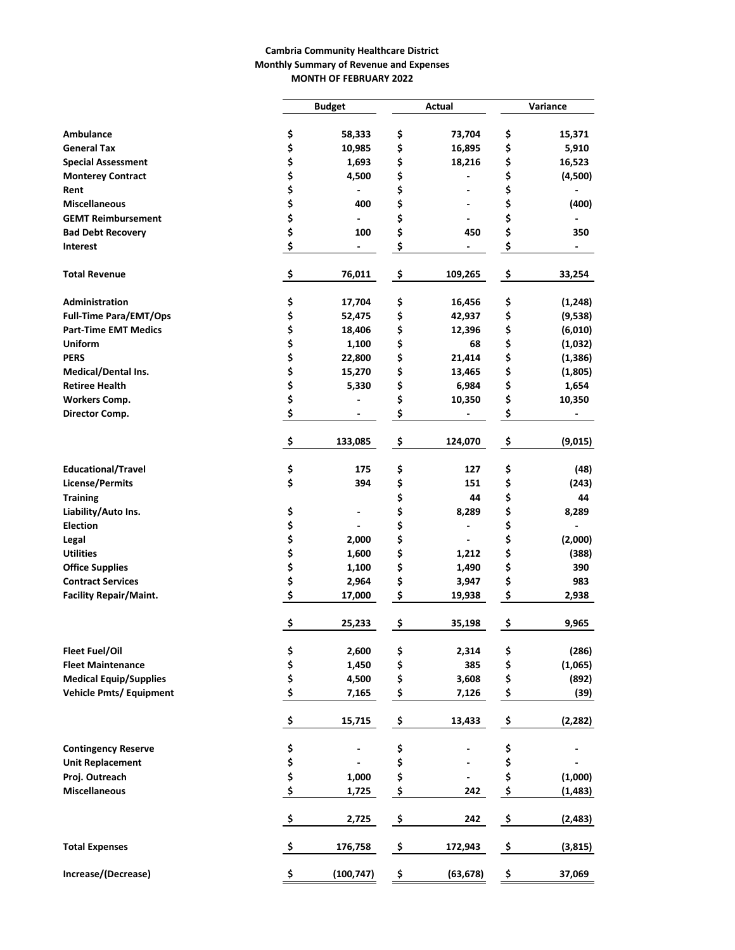### **Cambria Community Healthcare District Monthly Summary of Revenue and Expenses MONTH OF FEBRUARY 2022**

|                                |          | <b>Budget</b>            |    | Actual                   | Variance |          |  |  |  |
|--------------------------------|----------|--------------------------|----|--------------------------|----------|----------|--|--|--|
|                                |          |                          |    |                          |          |          |  |  |  |
| Ambulance                      | \$       | 58,333                   | \$ | 73,704                   | \$       | 15,371   |  |  |  |
| <b>General Tax</b>             | \$       | 10,985                   | \$ | 16,895                   | \$       | 5,910    |  |  |  |
| <b>Special Assessment</b>      | \$       | 1,693                    | \$ | 18,216                   | \$       | 16,523   |  |  |  |
| <b>Monterey Contract</b>       | \$       | 4,500                    | \$ |                          | \$       | (4,500)  |  |  |  |
| Rent                           | \$       |                          | \$ | $\overline{a}$           | \$       |          |  |  |  |
| <b>Miscellaneous</b>           | \$       | 400                      | \$ | $\overline{a}$           | \$       | (400)    |  |  |  |
| <b>GEMT Reimbursement</b>      | \$       |                          | \$ | $\overline{\phantom{0}}$ | \$       |          |  |  |  |
| <b>Bad Debt Recovery</b>       | \$       | 100                      | \$ | 450                      | \$       | 350      |  |  |  |
| <b>Interest</b>                | \$       | $\overline{\phantom{a}}$ | \$ |                          | \$       |          |  |  |  |
| <b>Total Revenue</b>           | \$       | 76,011                   | \$ | 109,265                  | \$       | 33,254   |  |  |  |
| Administration                 | \$       | 17,704                   | \$ | 16,456                   | \$       | (1, 248) |  |  |  |
| <b>Full-Time Para/EMT/Ops</b>  | \$       | 52,475                   | \$ | 42,937                   | \$       | (9,538)  |  |  |  |
| <b>Part-Time EMT Medics</b>    | \$       | 18,406                   | \$ | 12,396                   | \$       | (6,010)  |  |  |  |
| <b>Uniform</b>                 | \$       | 1,100                    | \$ | 68                       | \$       | (1,032)  |  |  |  |
| <b>PERS</b>                    | \$       | 22,800                   | \$ | 21,414                   | \$       | (1, 386) |  |  |  |
| Medical/Dental Ins.            | \$       | 15,270                   | \$ | 13,465                   | \$       | (1,805)  |  |  |  |
| <b>Retiree Health</b>          | \$       | 5,330                    | \$ | 6,984                    | \$       | 1,654    |  |  |  |
| <b>Workers Comp.</b>           | \$       |                          | \$ | 10,350                   | \$       | 10,350   |  |  |  |
| Director Comp.                 | \$       |                          | \$ |                          | \$       |          |  |  |  |
|                                | \$       | 133,085                  | \$ | 124,070                  | \$       | (9,015)  |  |  |  |
| <b>Educational/Travel</b>      | \$       | 175                      | \$ | 127                      | \$       | (48)     |  |  |  |
| <b>License/Permits</b>         | \$       | 394                      | \$ | 151                      | \$       | (243)    |  |  |  |
| <b>Training</b>                |          |                          | \$ | 44                       | \$       | 44       |  |  |  |
| Liability/Auto Ins.            | \$       |                          | \$ | 8,289                    | \$       | 8,289    |  |  |  |
| <b>Election</b>                | \$       |                          | \$ |                          | \$       |          |  |  |  |
| Legal                          | \$       | 2,000                    | \$ |                          | \$       | (2,000)  |  |  |  |
| <b>Utilities</b>               | \$       | 1,600                    | \$ | 1,212                    | \$       | (388)    |  |  |  |
| <b>Office Supplies</b>         | \$       | 1,100                    | \$ | 1,490                    | \$       | 390      |  |  |  |
| <b>Contract Services</b>       | \$       | 2,964                    | \$ | 3,947                    | \$       | 983      |  |  |  |
| <b>Facility Repair/Maint.</b>  | \$       | 17,000                   | \$ | 19,938                   | \$       | 2,938    |  |  |  |
|                                | \$       | 25,233                   | \$ | 35,198                   | \$       | 9,965    |  |  |  |
| Fleet Fuel/Oil                 |          | 2,600                    | \$ | 2,314                    | \$       | (286)    |  |  |  |
| <b>Fleet Maintenance</b>       | \$<br>\$ | 1,450                    | \$ | 385                      | \$       | (1,065)  |  |  |  |
| <b>Medical Equip/Supplies</b>  | \$       | 4,500                    | \$ | 3,608                    | \$       | (892)    |  |  |  |
| <b>Vehicle Pmts/ Equipment</b> | \$       | 7,165                    | \$ | 7,126                    | \$       | (39)     |  |  |  |
|                                | \$       | 15,715                   | \$ | 13,433                   | \$       | (2, 282) |  |  |  |
| <b>Contingency Reserve</b>     | \$       |                          | \$ |                          | \$       |          |  |  |  |
| <b>Unit Replacement</b>        | \$       |                          | \$ |                          | \$       |          |  |  |  |
| Proj. Outreach                 | \$       | 1,000                    | \$ |                          | \$       | (1,000)  |  |  |  |
| <b>Miscellaneous</b>           | \$       | 1,725                    | \$ | 242                      | \$       | (1, 483) |  |  |  |
|                                | \$       | 2,725                    | \$ | 242                      | \$       | (2, 483) |  |  |  |
| <b>Total Expenses</b>          | -\$      | 176,758                  | \$ | 172,943                  | \$       | (3, 815) |  |  |  |
| Increase/(Decrease)            | \$       | (100, 747)               | \$ | (63, 678)                | \$       | 37,069   |  |  |  |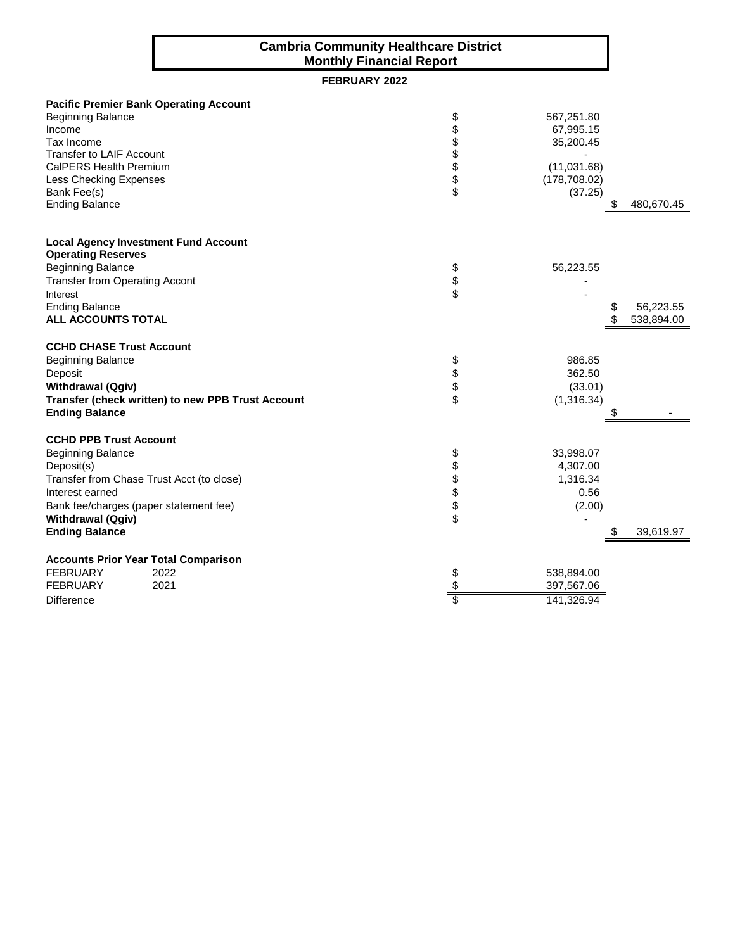## **Cambria Community Healthcare District Monthly Financial Report**

# **FEBRUARY 2022**

|                                                                          | <b>Pacific Premier Bank Operating Account</b>     |               |               |            |
|--------------------------------------------------------------------------|---------------------------------------------------|---------------|---------------|------------|
| <b>Beginning Balance</b>                                                 |                                                   | \$            | 567,251.80    |            |
| Income                                                                   |                                                   |               | 67,995.15     |            |
| Tax Income                                                               |                                                   |               | 35,200.45     |            |
| <b>Transfer to LAIF Account</b>                                          |                                                   |               |               |            |
| CalPERS Health Premium                                                   |                                                   |               | (11,031.68)   |            |
| Less Checking Expenses                                                   |                                                   | <b>888888</b> | (178, 708.02) |            |
| Bank Fee(s)                                                              |                                                   |               | (37.25)       |            |
| <b>Ending Balance</b>                                                    |                                                   |               | S             | 480,670.45 |
| <b>Local Agency Investment Fund Account</b><br><b>Operating Reserves</b> |                                                   |               |               |            |
| <b>Beginning Balance</b>                                                 |                                                   |               | 56,223.55     |            |
| <b>Transfer from Operating Accont</b>                                    |                                                   | \$<br>\$      |               |            |
| Interest                                                                 |                                                   |               |               |            |
| <b>Ending Balance</b>                                                    |                                                   |               |               | 56,223.55  |
| <b>ALL ACCOUNTS TOTAL</b>                                                |                                                   |               |               | 538,894.00 |
| <b>CCHD CHASE Trust Account</b>                                          |                                                   |               |               |            |
| <b>Beginning Balance</b>                                                 |                                                   | \$            | 986.85        |            |
| Deposit                                                                  |                                                   | \$<br>\$      | 362.50        |            |
| <b>Withdrawal (Qgiv)</b>                                                 |                                                   |               | (33.01)       |            |
|                                                                          | Transfer (check written) to new PPB Trust Account |               | (1,316.34)    |            |
| <b>Ending Balance</b>                                                    |                                                   |               | Ъ             |            |
| <b>CCHD PPB Trust Account</b>                                            |                                                   |               |               |            |
| <b>Beginning Balance</b>                                                 |                                                   | \$            | 33,998.07     |            |
| Deposit(s)                                                               |                                                   |               | 4,307.00      |            |
| Transfer from Chase Trust Acct (to close)                                |                                                   | <b>88888</b>  | 1,316.34      |            |
| Interest earned                                                          |                                                   |               | 0.56          |            |
| Bank fee/charges (paper statement fee)                                   |                                                   |               | (2.00)        |            |
| <b>Withdrawal (Qgiv)</b>                                                 |                                                   |               |               |            |
| <b>Ending Balance</b>                                                    |                                                   |               |               | 39,619.97  |
| <b>Accounts Prior Year Total Comparison</b>                              |                                                   |               |               |            |
| <b>FEBRUARY</b>                                                          | 2022                                              | \$            | 538,894.00    |            |
| <b>FEBRUARY</b>                                                          | 2021                                              | \$            | 397,567.06    |            |
| <b>Difference</b>                                                        |                                                   | \$            | 141,326.94    |            |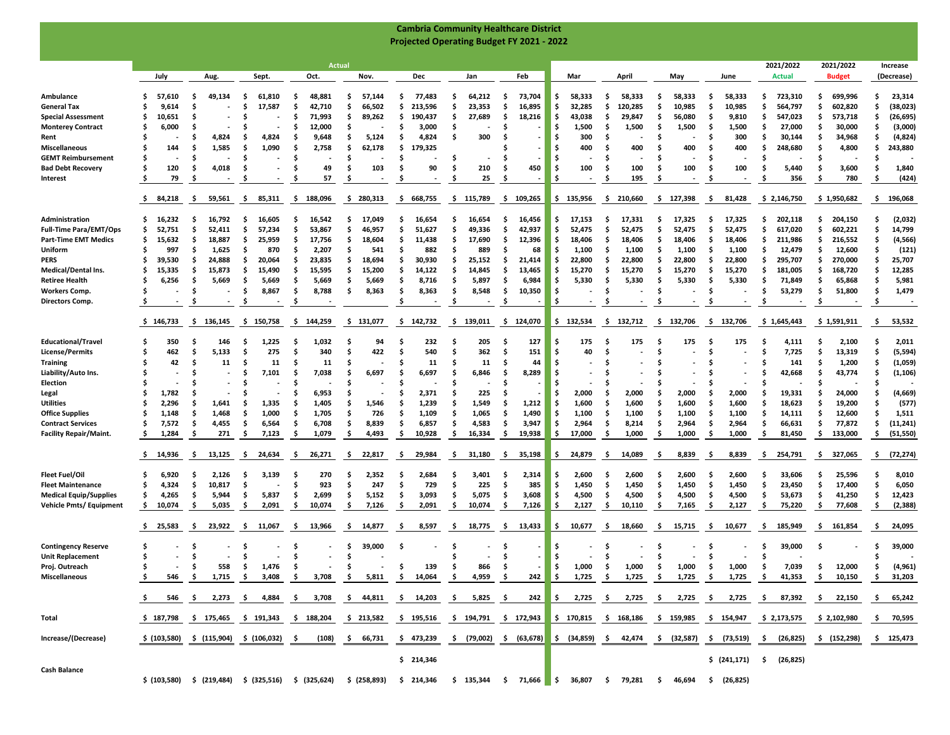|                                                              |                            |       |          |                  |          |                                           |         |                                                                                                                                               |        |                    |           | <b>Cambria Community Healthcare District</b>     |        |                  |          |                  |          |                     |        |                                                                                   |          |                  |           |                                                |          |                            |           |                            |         |                        |
|--------------------------------------------------------------|----------------------------|-------|----------|------------------|----------|-------------------------------------------|---------|-----------------------------------------------------------------------------------------------------------------------------------------------|--------|--------------------|-----------|--------------------------------------------------|--------|------------------|----------|------------------|----------|---------------------|--------|-----------------------------------------------------------------------------------|----------|------------------|-----------|------------------------------------------------|----------|----------------------------|-----------|----------------------------|---------|------------------------|
|                                                              |                            |       |          |                  |          |                                           |         |                                                                                                                                               |        |                    |           | <b>Projected Operating Budget FY 2021 - 2022</b> |        |                  |          |                  |          |                     |        |                                                                                   |          |                  |           |                                                |          |                            |           |                            |         |                        |
|                                                              |                            |       |          |                  |          |                                           |         |                                                                                                                                               |        |                    |           |                                                  |        |                  |          |                  |          |                     |        |                                                                                   |          |                  |           |                                                |          |                            |           |                            |         |                        |
|                                                              | July                       |       |          | Aug.             |          | Sept.                                     |         | <b>Actual</b><br>Oct.                                                                                                                         |        | Nov.               |           | Dec                                              |        | Jan              |          | Feb              |          | Mar                 |        | April                                                                             |          | May              |           | June                                           |          | 2021/2022<br><b>Actual</b> |           | 2021/2022<br><b>Budget</b> |         | Increase<br>(Decrease) |
|                                                              |                            |       |          |                  |          |                                           |         |                                                                                                                                               |        |                    |           |                                                  |        |                  |          |                  |          |                     |        |                                                                                   |          |                  |           |                                                |          |                            |           |                            |         |                        |
| Ambulance                                                    | Ŝ<br>57,610                |       | S        | 49,134           | -S       | 61,810                                    | .s      | 48,881                                                                                                                                        | S      | 57,144             | s.        | 77,483                                           | s      | 64,212           | .s       | 73,704           | \$       | 58,333              | s      | 58,333                                                                            | \$.      | 58,333           | -S        | 58,333                                         | Ś        | 723,310                    | \$        | 699,996                    | S       | 23,314                 |
| <b>General Tax</b>                                           | Ś                          | 9,614 | s.       |                  | S        | 17,587                                    | Ŝ       | 42,710                                                                                                                                        | S      | 66,502             | S         | 213,596                                          | s      | 23,353           | Ŝ.       | 16,895           | \$       | 32,285              | S      | 120,285                                                                           | .s       | 10,985           | Ŝ         | 10,985                                         | S        | 564,797                    | \$.       | 602,820                    | S       | (38, 023)              |
| <b>Special Assessment</b>                                    | S<br>10,651                |       |          |                  | S        |                                           | Ś       | 71,993                                                                                                                                        | s      | 89,262             | \$        | 190,437                                          | s      | 27,689           | Ŝ.       | 18,216           | \$       | 43,038              | S      | 29,847                                                                            | \$       | 56,080           | .s        | 9,810                                          | Ś        | 547,023                    | \$        | 573,718                    | S       | (26, 695)              |
| <b>Monterey Contract</b>                                     |                            | 6,000 | -S<br>S  | 4,824            | s<br>s   | 4,824                                     | .s<br>S | 12,000<br>9,648                                                                                                                               | s      | 5,124              | \$.<br>\$ | 3,000<br>4,824                                   | s<br>S | 300              | -S       |                  | s.<br>\$ | 1,500<br>300        | s<br>s | 1,500                                                                             | -S<br>S  | 1,500            | -S<br>.s  | 1,500<br>300                                   | S<br>.s  | 27,000<br>30,144           | \$<br>\$. | 30,000<br>34,968           | s<br>.s | (3,000)<br>(4, 824)    |
| Rent<br><b>Miscellaneous</b>                                 |                            | 144   | Ŝ        | 1,585            | . Ś      | 1,090                                     | Ś       | 2,758                                                                                                                                         | Ŝ.     | 62,178             | \$        | 179,325                                          |        |                  |          |                  | \$       | 400                 |        | 400                                                                               | Ś        | 400              | Ś.        | 400                                            | . Ś      | 248,680                    | Ś         | 4,800                      |         | 243,880                |
| <b>GEMT Reimbursement</b>                                    | \$                         |       | Ŝ.       |                  | \$       |                                           | Ś       |                                                                                                                                               | .s     |                    | \$        |                                                  | Ś.     | ٠                | Ŝ        |                  | \$       |                     | s      |                                                                                   | s        |                  | Ś.        |                                                | Ś        |                            | \$        |                            |         |                        |
| <b>Bad Debt Recovery</b>                                     | Ŝ                          | 120   | S        | 4,018            | .s       |                                           | S       | 49                                                                                                                                            | S      | 103                | .s        | 90                                               | .s     | 210              | .s       | 450              | \$.      | 100                 | s      | 100                                                                               | .s       | 100              | .s        | 100                                            | .s       | 5,440                      | \$.       | 3,600                      | S       | 1,840                  |
| Interest                                                     | .s                         | 79    |          |                  | S        |                                           | \$.     | 57                                                                                                                                            | S      |                    | S         |                                                  | S      | 25               | . Ś      |                  | \$       |                     | S      | 195                                                                               | S        |                  | .s        |                                                | S        | 356                        | S         | 780                        | S       | (424)                  |
|                                                              | 84,218<br>Ş.               |       | \$.      | 59,561           | - \$     | 85,311                                    |         | \$188,096                                                                                                                                     |        | \$280,313          | -S        | 668,755                                          |        | \$115,789        |          | \$109,265        |          | \$135,956           |        | \$210,660                                                                         |          | \$127,398        | -\$       | 81,428                                         |          | \$2,146,750                |           | \$1,950,682                | -\$     | 196,068                |
|                                                              |                            |       |          |                  |          |                                           |         |                                                                                                                                               |        |                    |           |                                                  |        |                  |          |                  |          |                     |        |                                                                                   |          |                  |           |                                                |          |                            |           |                            |         |                        |
| Administration                                               | 16,232<br>s.               |       | \$       | 16,792           | -\$      | 16,605                                    | .s      | 16,542                                                                                                                                        | s      | 17,049             | S         | 16,654                                           | s      | 16,654           | \$       | 16,456           | \$       | 17,153              | s      | 17,331                                                                            | \$.      | 17,325           | \$.       | 17,325                                         | Ś        | 202,118                    | \$.       | 204,150                    | S       | (2,032)                |
| <b>Full-Time Para/EMT/Ops</b><br><b>Part-Time EMT Medics</b> | Ŝ<br>52,751<br>15,632<br>S |       | Ŝ.<br>s. | 52,411<br>18,887 | .s<br>S  | 57,234<br>25,959                          | S<br>S  | 53,867<br>17,756                                                                                                                              | s<br>S | 46,957<br>18,604   | s.<br>\$. | 51,627<br>11,438                                 | Ŝ<br>s | 49,336<br>17,690 | Ŝ.<br>Ŝ. | 42,937<br>12,396 | \$<br>\$ | 52,475<br>18,406    | s<br>s | 52,475<br>18,406                                                                  | Ŝ<br>\$. | 52,475<br>18,406 | \$.<br>.s | 52,475<br>18,406                               | S<br>S   | 617,020<br>211,986         | \$<br>s   | 602,221<br>216,552         | S<br>S  | 14,799<br>(4, 566)     |
| Uniform                                                      | Ś                          | 997   | s.       | 1,625            | -S       | 870                                       | \$.     | 2,207                                                                                                                                         |        | 541                | \$.       | 882                                              | s      | 889              | .s       | 68               | Ŝ        | 1,100               | s      | 1,100                                                                             | \$.      | 1,100            | .s        | 1,100                                          | \$       | 12,479                     | \$        | 12,600                     |         | (121)                  |
| <b>PERS</b>                                                  | S<br>39.530                |       | S        | 24,888           | \$       | 20,064                                    | S       | 23,835                                                                                                                                        | s      | 18,694             | \$.       | 30.930                                           | s      | 25,152           | .s       | 21,414           | \$       | 22,800              | s      | 22,800                                                                            | \$.      | 22,800           | -S        | 22,800                                         | \$       | 295,707                    | \$        | 270,000                    |         | 25,707                 |
| Medical/Dental Ins.                                          | 15,335                     |       | s.       | 15,873           | s        | 15,490                                    | S       | 15,595                                                                                                                                        | S      | 15,200             | S         | 14,122                                           |        | 14,845           | Ŝ.       | 13,465           | s        | 15,270              | s      | 15,270                                                                            | S        | 15,270           | S         | 15,270                                         | S        | 181,005                    | s         | 168,720                    |         | 12,285                 |
| <b>Retiree Health</b>                                        | S                          | 6,256 | Ŝ.       | 5,669            | \$       | 5,669                                     | \$      | 5,669                                                                                                                                         | S      | 5,669              | \$        | 8,716                                            | s      | 5,897            | Ŝ.       | 6,984            | \$       | 5,330               | S      | 5,330                                                                             | \$       | 5,330            | \$.       | 5,330                                          | \$.      | 71,849                     | \$        | 65,868                     |         | 5,981                  |
| <b>Workers Comp.</b>                                         | S                          |       | s.       |                  | \$       | 8,867                                     | .s      | 8,788                                                                                                                                         | -S     | 8,363              | -\$       | 8,363                                            | \$.    | 8,548            | \$       | 10,350           | \$       |                     | s      |                                                                                   | S        |                  | \$.       |                                                | -S       | 53,279                     | \$        | 51,800                     | S       | 1,479                  |
| <b>Directors Comp.</b>                                       |                            |       | .s       |                  | S        |                                           | S       |                                                                                                                                               |        |                    | \$        |                                                  | \$.    |                  | Ŝ.       |                  | \$       |                     | -S     | $\overline{\phantom{a}}$                                                          | \$.      |                  | .s        |                                                | .s       |                            | s         |                            | S       |                        |
|                                                              | \$146,733                  |       | \$       | 136,145          | -S       | 150,758                                   | -\$     | 144,259                                                                                                                                       | -\$    | 131,077            |           | \$142,732                                        | -S     | 139,011          |          | \$124,070        |          | \$132,534           | -\$    | 132,712                                                                           | -S       | 132,706          | \$.       | 132,706                                        |          | \$1,645,443                |           | \$1,591,911                | \$      | 53,532                 |
| <b>Educational/Travel</b>                                    | s                          | 350   | S        | 146              | S        | 1,225                                     | S       | 1,032                                                                                                                                         |        | 94                 | S         | 232                                              | S      | 205              | .s       | 127              | S        | 175                 |        | 175                                                                               | S        | 175              | s         | 175                                            | S        | 4,111                      | \$        | 2,100                      | S       | 2,011                  |
| <b>License/Permits</b>                                       | S                          | 462   | Ŝ        | 5,133            | . Ś      | 275                                       | Ś.      | 340                                                                                                                                           | S      | 422                | Ŝ.        | 540                                              | S      | 362              | -\$      | 151              | \$       | 40                  | s      |                                                                                   | Ś.       |                  | .\$       |                                                | .s       | 7,725                      | \$        | 13,319                     | S       | (5, 594)               |
| <b>Training</b>                                              | Ś                          | 42    | .s       | 11               | .s       | 11                                        | S       | 11                                                                                                                                            | S      |                    | S         | 11                                               | S      | 11               | .s       | 44               | Ś        |                     | s      |                                                                                   | S        |                  |           |                                                | S        | 141                        | \$.       | 1,200                      | .s      | (1,059)                |
| Liability/Auto Ins.                                          |                            |       | S        |                  | S        | 7,101                                     | .s      | 7,038                                                                                                                                         |        | 6,697              | S         | 6,697                                            |        | 6,846            | .s       | 8,289            | Ŝ        |                     |        |                                                                                   | S        |                  | S         |                                                | S        | 42,668                     | S         | 43,774                     |         | (1, 106)               |
| Election                                                     |                            |       | -S       |                  | S        |                                           | S       |                                                                                                                                               |        |                    | S         |                                                  | S      |                  | .s       |                  | S        |                     |        |                                                                                   | S        |                  | s         |                                                | S        |                            | S         |                            |         |                        |
| Legal                                                        | S                          | 1,782 | S        |                  | S        |                                           | S       | 6,953                                                                                                                                         |        |                    | .s        | 2,371                                            |        | 225              | Ŝ.       |                  | \$       | 2,000               | s      | 2,000                                                                             | S        | 2,000            | .s        | 2,000                                          | S        | 19,331                     | \$        | 24,000                     |         | (4,669)                |
| <b>Utilities</b>                                             |                            | 2,296 |          | 1,641            | S        | 1,335                                     | Ś       | 1,405                                                                                                                                         |        | 1,546              | Ś         | 1,239                                            |        | 1,549            | .s       | 1,212            | Ŝ        | 1,600               |        | 1,600                                                                             | Ś        | 1,600            | Ś         | 1,600                                          | \$       | 18,623                     | \$        | 19,200                     |         | (577)                  |
| <b>Office Supplies</b>                                       | S                          | 1,148 | s.       | 1,468            | \$       | 1,000                                     | \$.     | 1,705                                                                                                                                         | Ŝ      | 726                | Ŝ.        | 1,109                                            | \$     | 1,065            | \$       | 1,490            | \$       | 1,100               | S      | 1,100                                                                             | \$       | 1,100            | Ŝ         | 1,100                                          | \$.      | 14,111                     | \$        | 12,600                     | S       | 1,511                  |
| <b>Contract Services</b>                                     | Ŝ                          | 7,572 | s.<br>Ŝ  | 4,455            | -S<br>.s | 6,564                                     | S<br>S  | 6,708                                                                                                                                         | S      | 8,839              | .s<br>.s  | 6,857                                            | S<br>Ŝ | 4,583            | .s<br>\$ | 3,947            | \$       | 2,964               | s<br>S | 8,214                                                                             | .s       | 2,964            | .s<br>\$. | 2,964                                          | .s<br>.s | 66,631                     | \$.<br>S  | 77,872                     | S       | (11,241)               |
| <b>Facility Repair/Maint.</b>                                | -S                         | 1,284 |          | 271              |          | 7,123                                     |         | 1,079                                                                                                                                         | S      | 4,493              |           | 10,928                                           |        | 16,334           |          | 19,938           | \$       | 17,000              |        | 1,000                                                                             | \$.      | 1,000            |           | 1,000                                          |          | 81,450                     |           | 133,000                    | s       | (51, 550)              |
|                                                              | 14,936<br>-S               |       | -S       | 13,125           | Ş        | 24,634                                    | -\$     | 26,271                                                                                                                                        | -S     | 22,817             | Ş         | 29,984                                           | -\$    | 31,180           | -S       | 35,198           | \$.      | 24,879              | -S     | 14,089                                                                            | -\$      | 8,839            | -S        | 8,839                                          | Ş        | 254,791                    | Ş         | 327,065                    | -\$     | (72,274)               |
| <b>Fleet Fuel/Oil</b>                                        | s                          | 6,920 | \$.      | 2,126            | S        | 3,139                                     | .s      | 270                                                                                                                                           | -S     | 2,352              |           | 2,684                                            | s      | 3,401            | .s       | 2,314            | \$       | 2,600               | s      | 2,600                                                                             | .s       | 2,600            | .s        | 2,600                                          | S        | 33,606                     | \$        | 25,596                     | S       | 8,010                  |
| <b>Fleet Maintenance</b>                                     | S                          | 4,324 | s.       | 10,817           | .s       |                                           | Ŝ       | 923                                                                                                                                           | S      | 247                | Ŝ.        | 729                                              | Ŝ      | 225              | Ŝ.       | 385              | \$       | 1,450               | S      | 1,450                                                                             | \$       | 1,450            | \$        | 1,450                                          | \$.      | 23,450                     | \$        | 17,400                     | S       | 6,050                  |
| <b>Medical Equip/Supplies</b>                                | S                          | 4,265 | s.       | 5,944            | -S       | 5,837                                     | Ś       | 2,699                                                                                                                                         | S      | 5,152              | .s        | 3,093                                            | S      | 5,075            | Ŝ.       | 3,608            | \$       | 4,500               | s      | 4,500                                                                             | .s       | 4,500            | \$.       | 4,500                                          | . Ś      | 53,673                     | \$        | 41,250                     | s       | 12,423                 |
| <b>Vehicle Pmts/ Equipment</b>                               | -\$<br>10,074              |       | \$.      | 5,035            | -S       | 2,091                                     | \$.     | 10,074                                                                                                                                        | .s     | 7,126              | .s        | 2,091                                            | \$.    | 10,074           | .s       | 7,126            | \$       | 2,127               | -S     | 10,110                                                                            | \$.      | 7,165            | \$        | 2,127                                          | -S       | 75,220                     | Ś.        | 77,608                     | -\$     | (2, 388)               |
|                                                              | s.<br>25,583               |       | s        | 23,922           | Ş        | 11,067                                    | -\$     | 13,966                                                                                                                                        | -S     | 14,877             | Ş         | 8,597                                            | -\$    | 18,775           | -\$      | 13,433           | \$       | 10,677              | \$.    | 18,660                                                                            | \$.      | 15,715           | -\$       | 10,677                                         | \$.      | 185,949                    | -S        | 161,854                    | -\$     | 24,095                 |
| <b>Contingency Reserve</b>                                   | \$                         |       | S        |                  | s        |                                           | S       |                                                                                                                                               |        | 39,000             | -S        |                                                  | s      |                  | S        |                  | \$       |                     | 5      |                                                                                   | -S       |                  | -S        |                                                | s        | 39,000                     | S         |                            | s       | 39,000                 |
| <b>Unit Replacement</b>                                      | Ŝ                          |       | s.       |                  | . Ś      |                                           | Ś       |                                                                                                                                               | S      |                    |           |                                                  | S      |                  | Ŝ.       |                  | \$       |                     | S      |                                                                                   | Ś.       |                  | Ś         |                                                | . Ś      |                            |           |                            | S       |                        |
| Proj. Outreach                                               |                            |       | -\$      | 558              | -\$      | 1,476                                     | -\$     |                                                                                                                                               | Ş      |                    | \$        | 139                                              | \$     | 866              | -\$      |                  | ١\$      | 1,000<br>$1,725$ \$ | - \$   | 1,000                                                                             | - \$     | 1,000            | \$        | 1,000                                          | -\$      | 7,039                      | \$        | 12,000                     | Ş       | (4, 961)               |
| <b>Miscellaneous</b>                                         | Ş.                         | 546   | - \$     | 1,715            | - \$     | 3,408                                     | - \$    | 3,708                                                                                                                                         |        | $$5,811$ $$14,064$ |           |                                                  | \$     | 4,959            | - \$     | $242 \quad$ \$   |          |                     |        | 1,725                                                                             | - \$     | 1,725            | - \$      | 1,725                                          | - S      | 41,353                     | \$        | 10,150                     | -\$     | 31,203                 |
|                                                              | ş.                         |       |          |                  |          |                                           |         | 546 \$ 2,273 \$ 4,884 \$ 3,708 \$ 44,811 \$ 14,203 \$ 5,825 \$                                                                                |        |                    |           |                                                  |        |                  |          |                  |          |                     |        | 242 \$ 2,725 \$ 2,725 \$ 2,725 \$ 2,725 \$ 87,392                                 |          |                  |           |                                                |          |                            |           | \$ 22,150                  | - \$    | 65,242                 |
| Total                                                        |                            |       |          |                  |          | \$187,798 \$175,465 \$191,343 \$188,204   |         |                                                                                                                                               |        | \$213,582          |           | \$195,516                                        |        |                  |          |                  |          |                     |        | \$ 194,791 \$ 172,943 \$ 170,815 \$ 168,186 \$ 159,985 \$ 154,947 \$ 2,173,575    |          |                  |           |                                                |          |                            |           | \$2,102,980                |         | \$70,595               |
| Increase/(Decrease)                                          |                            |       |          |                  |          | \$ (103,580) \$ (115,904) \$ (106,032) \$ |         | (108)                                                                                                                                         |        | \$ 66,731          |           | \$473,239                                        |        |                  |          |                  |          |                     |        | \$ (79,002) \$ (63,678) \$ (34,859) \$ 42,474 \$ (32,587) \$ (73,519) \$ (26,825) |          |                  |           |                                                |          |                            |           | \$ (152,298)               |         | \$125,473              |
|                                                              |                            |       |          |                  |          |                                           |         |                                                                                                                                               |        |                    |           | \$214,346                                        |        |                  |          |                  |          |                     |        |                                                                                   |          |                  |           | $\frac{1}{2}$ (241,171) $\frac{1}{2}$ (26,825) |          |                            |           |                            |         |                        |
| Cash Balance                                                 |                            |       |          |                  |          |                                           |         | $\frac{1}{2}$ (103,580) $\frac{1}{2}$ (219,484) $\frac{1}{2}$ (325,516) $\frac{1}{2}$ (325,624) $\frac{1}{2}$ (258,893) $\frac{1}{2}$ 214,346 |        |                    |           |                                                  |        |                  |          |                  |          |                     |        | $$135,344$ $$71,666$ $$36,807$ $$79,281$ $$46,694$ $$(26,825)$                    |          |                  |           |                                                |          |                            |           |                            |         |                        |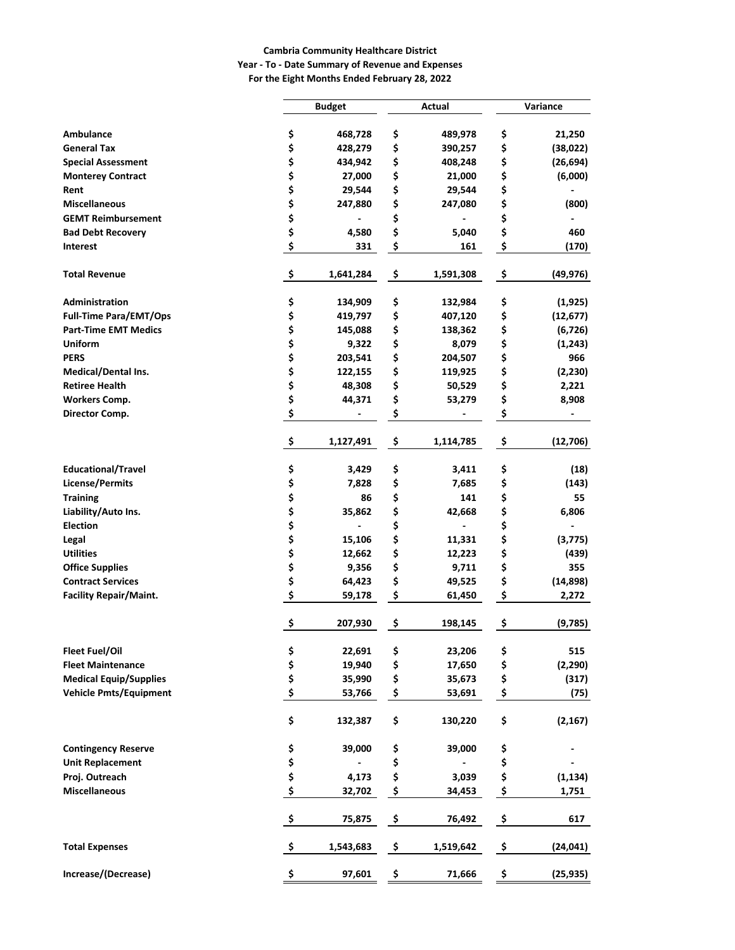#### **Cambria Community Healthcare District**

### **Year - To - Date Summary of Revenue and Expenses For the Eight Months Ended February 28, 2022**

|                                                       |          | <b>Budget</b>     |          | Actual            | Variance |                      |  |  |  |
|-------------------------------------------------------|----------|-------------------|----------|-------------------|----------|----------------------|--|--|--|
|                                                       |          |                   |          |                   |          |                      |  |  |  |
| <b>Ambulance</b><br><b>General Tax</b>                | \$       | 468,728           | \$       | 489,978           | \$       | 21,250               |  |  |  |
|                                                       | \$       | 428,279           | \$       | 390,257           | \$<br>\$ | (38, 022)            |  |  |  |
| <b>Special Assessment</b><br><b>Monterey Contract</b> | \$<br>\$ | 434,942<br>27,000 | \$<br>\$ | 408,248<br>21,000 | \$       | (26, 694)<br>(6,000) |  |  |  |
| Rent                                                  | \$       | 29,544            | \$       | 29,544            | \$       |                      |  |  |  |
| <b>Miscellaneous</b>                                  | \$       | 247,880           | \$       | 247,080           | \$       | (800)                |  |  |  |
| <b>GEMT Reimbursement</b>                             | \$       |                   | \$       |                   | \$       |                      |  |  |  |
| <b>Bad Debt Recovery</b>                              | \$       | 4,580             | \$       | 5,040             | \$       | 460                  |  |  |  |
| <b>Interest</b>                                       | \$       | 331               | \$       | 161               | \$       | (170)                |  |  |  |
|                                                       |          |                   |          |                   |          |                      |  |  |  |
| <b>Total Revenue</b>                                  | \$       | 1,641,284         | \$       | 1,591,308         | \$       | (49, 976)            |  |  |  |
| Administration                                        | \$       | 134,909           | \$       | 132,984           | \$       | (1,925)              |  |  |  |
| <b>Full-Time Para/EMT/Ops</b>                         | \$       | 419,797           | \$       | 407,120           | \$       | (12, 677)            |  |  |  |
| <b>Part-Time EMT Medics</b>                           | \$       | 145,088           | \$       | 138,362           | \$       | (6, 726)             |  |  |  |
| <b>Uniform</b>                                        | \$       | 9,322             | \$       | 8,079             | \$       | (1, 243)             |  |  |  |
| <b>PERS</b>                                           | \$       | 203,541           | \$       | 204,507           | \$       | 966                  |  |  |  |
| <b>Medical/Dental Ins.</b>                            | \$       | 122,155           | \$       | 119,925           | \$       | (2, 230)             |  |  |  |
| <b>Retiree Health</b>                                 | \$       | 48,308            | \$       | 50,529            | \$       | 2,221                |  |  |  |
| <b>Workers Comp.</b>                                  | \$       | 44,371            | \$       | 53,279            | \$       | 8,908                |  |  |  |
| Director Comp.                                        | \$       |                   | \$       |                   | \$       |                      |  |  |  |
|                                                       | \$       | 1,127,491         | \$       | 1,114,785         | \$       | (12,706)             |  |  |  |
| <b>Educational/Travel</b>                             | \$       | 3,429             | \$       | 3,411             | \$       | (18)                 |  |  |  |
| <b>License/Permits</b>                                | \$       | 7,828             | \$       | 7,685             | \$       | (143)                |  |  |  |
| <b>Training</b>                                       | \$       | 86                | \$       | 141               | \$       | 55                   |  |  |  |
| Liability/Auto Ins.                                   | \$       | 35,862            | \$       | 42,668            | \$       | 6,806                |  |  |  |
| <b>Election</b>                                       | \$       |                   | \$       |                   | \$       |                      |  |  |  |
| Legal                                                 | \$       | 15,106            | \$       | 11,331            | \$       | (3, 775)             |  |  |  |
| <b>Utilities</b>                                      | \$       | 12,662            | \$       | 12,223            | \$       | (439)                |  |  |  |
| <b>Office Supplies</b>                                | \$       | 9,356             | \$       | 9,711             | \$       | 355                  |  |  |  |
| <b>Contract Services</b>                              | \$       | 64,423            | \$       | 49,525            | \$       | (14, 898)            |  |  |  |
| <b>Facility Repair/Maint.</b>                         | \$       | 59,178            | \$       | 61,450            | \$       | 2,272                |  |  |  |
|                                                       | \$       | 207,930           | \$       | 198,145           | \$       | (9,785)              |  |  |  |
| Fleet Fuel/Oil                                        |          | 22,691            | \$       | 23,206            | \$       | 515                  |  |  |  |
| <b>Fleet Maintenance</b>                              | \$<br>\$ | 19,940            | \$       | 17,650            | \$       | (2, 290)             |  |  |  |
| <b>Medical Equip/Supplies</b>                         | \$       | 35,990            | \$       | 35,673            | \$       | (317)                |  |  |  |
| <b>Vehicle Pmts/Equipment</b>                         | \$       | 53,766            | \$       | 53,691            | \$       | (75)                 |  |  |  |
|                                                       | \$       | 132,387           | \$       | 130,220           | \$       | (2, 167)             |  |  |  |
| <b>Contingency Reserve</b>                            | \$       | 39,000            | \$       | 39,000            | \$       |                      |  |  |  |
| <b>Unit Replacement</b>                               | \$       |                   | \$       |                   | \$       |                      |  |  |  |
| Proj. Outreach                                        | \$       | 4,173             | \$       | 3,039             | \$       | (1, 134)             |  |  |  |
| <b>Miscellaneous</b>                                  | \$       | 32,702            | \$       | 34,453            | \$       | 1,751                |  |  |  |
|                                                       | \$       | 75,875            | \$       | 76,492            | \$       | 617                  |  |  |  |
| <b>Total Expenses</b>                                 | \$       | 1,543,683         | \$       | 1,519,642         | \$       | (24, 041)            |  |  |  |
| Increase/(Decrease)                                   | \$       | 97,601            | \$       | 71,666            | \$       | (25, 935)            |  |  |  |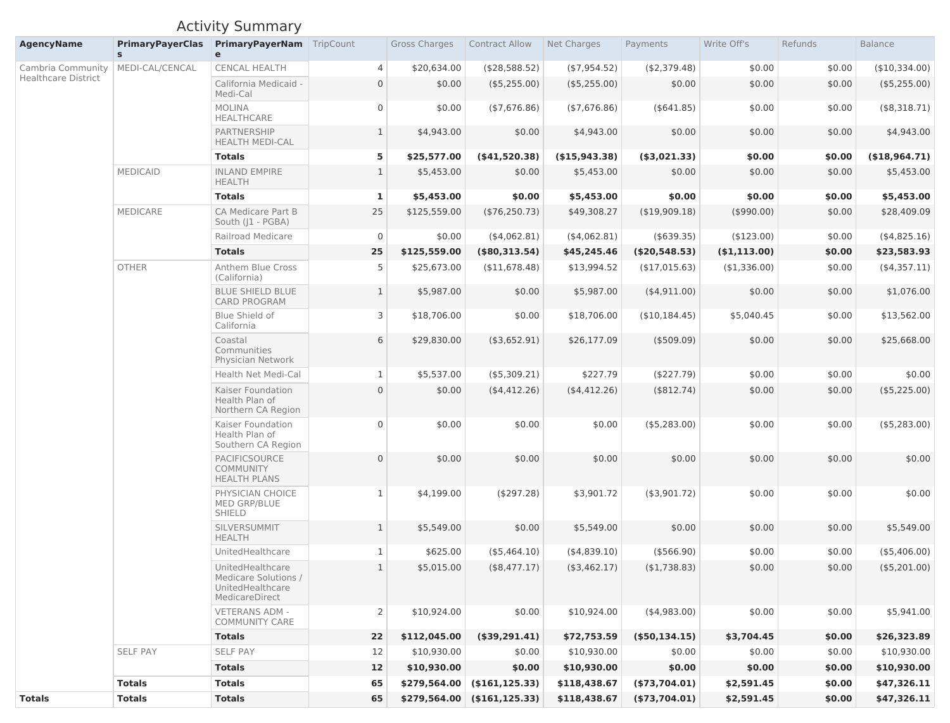# Activity Summary

| <b>AgencyName</b>          | <b>PrimaryPayerClas</b><br>S. | <b>PrimaryPayerNam</b> TripCount<br>$\mathbf{e}$                               |                | <b>Gross Charges</b> | <b>Contract Allow</b> | Net Charges      | Payments         | Write Off's  | Refunds | <b>Balance</b> |
|----------------------------|-------------------------------|--------------------------------------------------------------------------------|----------------|----------------------|-----------------------|------------------|------------------|--------------|---------|----------------|
| Cambria Community          | MEDI-CAL/CENCAL               | <b>CENCAL HEALTH</b>                                                           | $\overline{4}$ | \$20,634.00          | (\$28,588.52)         | ( \$7,954.52)    | ( \$2,379.48)    | \$0.00       | \$0.00  | (\$10,334.00)  |
| <b>Healthcare District</b> |                               | California Medicaid -<br>Medi-Cal                                              | $\overline{0}$ | \$0.00               | (\$5,255.00)          | $($ \$5,255.00)  | \$0.00           | \$0.00       | \$0.00  | (\$5,255.00)   |
|                            |                               | <b>MOLINA</b><br><b>HEALTHCARE</b>                                             | $\overline{0}$ | \$0.00               | ( \$7,676.86)         | (47, 676.86)     | $($ \$641.85)    | \$0.00       | \$0.00  | (\$8,318.71)   |
|                            |                               | PARTNERSHIP<br><b>HEALTH MEDI-CAL</b>                                          | $\mathbf{1}$   | \$4,943.00           | \$0.00                | \$4,943.00       | \$0.00           | \$0.00       | \$0.00  | \$4,943.00     |
|                            |                               | <b>Totals</b>                                                                  | 5              | \$25,577.00          | (\$41,520.38)         | $($ \$15,943.38) | (\$3,021.33)     | \$0.00       | \$0.00  | (\$18,964.71)  |
|                            | <b>MEDICAID</b>               | <b>INLAND EMPIRE</b><br><b>HEALTH</b>                                          |                | \$5,453.00           | \$0.00                | \$5,453.00       | \$0.00           | \$0.00       | \$0.00  | \$5,453.00     |
|                            |                               | <b>Totals</b>                                                                  | $\mathbf{1}$   | \$5,453.00           | \$0.00                | \$5,453.00       | \$0.00           | \$0.00       | \$0.00  | \$5,453.00     |
|                            | <b>MEDICARE</b>               | <b>CA Medicare Part B</b><br>South (J1 - PGBA)                                 | 25             | \$125,559.00         | (\$76,250.73)         | \$49,308.27      | (\$19,909.18)    | (\$990.00)   | \$0.00  | \$28,409.09    |
|                            |                               | <b>Railroad Medicare</b>                                                       | $\overline{0}$ | \$0.00               | (4,062.81)            | $($ \$4,062.81)  | $($ \$639.35)    | (\$123.00)   | \$0.00  | (4,825.16)     |
|                            |                               | <b>Totals</b>                                                                  | 25             | \$125,559.00         | (\$80,313.54)         | \$45,245.46      | (\$20,548.53)    | (\$1,113.00) | \$0.00  | \$23,583.93    |
|                            | <b>OTHER</b>                  | <b>Anthem Blue Cross</b><br>(California)                                       | 5              | \$25,673.00          | (\$11,678.48)         | \$13,994.52      | (\$17,015.63)    | (\$1,336.00) | \$0.00  | (\$4,357.11)   |
|                            |                               | <b>BLUE SHIELD BLUE</b><br><b>CARD PROGRAM</b>                                 | $\mathbf{1}$   | \$5,987.00           | \$0.00                | \$5,987.00       | $($ \$4,911.00)  | \$0.00       | \$0.00  | \$1,076.00     |
|                            |                               | <b>Blue Shield of</b><br>California                                            | 3              | \$18,706.00          | \$0.00                | \$18,706.00      | (\$10,184.45)    | \$5,040.45   | \$0.00  | \$13,562.00    |
|                            |                               | Coastal<br>Communities<br>Physician Network                                    | 6              | \$29,830.00          | (\$3,652.91)          | \$26,177.09      | $($ \$509.09)    | \$0.00       | \$0.00  | \$25,668.00    |
|                            |                               | <b>Health Net Medi-Cal</b>                                                     |                | \$5,537.00           | $($ \$5,309.21)       | \$227.79         | (\$227.79)       | \$0.00       | \$0.00  | \$0.00         |
|                            |                               | Kaiser Foundation<br>Health Plan of<br>Northern CA Region                      | $\overline{0}$ | \$0.00               | (\$4,412.26)          | (4,412.26)       | (\$812.74)       | \$0.00       | \$0.00  | (\$5,225.00)   |
|                            |                               | <b>Kaiser Foundation</b><br>Health Plan of<br>Southern CA Region               | $\overline{0}$ | \$0.00               | \$0.00                | \$0.00           | (\$5,283.00)     | \$0.00       | \$0.00  | (\$5,283.00)   |
|                            |                               | <b>PACIFICSOURCE</b><br><b>COMMUNITY</b><br><b>HEALTH PLANS</b>                | $\overline{0}$ | \$0.00               | \$0.00                | \$0.00           | \$0.00           | \$0.00       | \$0.00  | \$0.00         |
|                            |                               | PHYSICIAN CHOICE<br><b>MED GRP/BLUE</b><br><b>SHIELD</b>                       | $\mathbf{1}$   | \$4,199.00           | (\$297.28)            | \$3,901.72       | (\$3,901.72)     | \$0.00       | \$0.00  | \$0.00         |
|                            |                               | SILVERSUMMIT<br><b>HEALTH</b>                                                  |                | \$5,549.00           | \$0.00                | \$5,549.00       | \$0.00           | \$0.00       | \$0.00  | \$5,549.00     |
|                            |                               | UnitedHealthcare                                                               |                | \$625.00             | $($ \$5,464.10)       | (4,839.10)       | $($ \$566.90)    | \$0.00       | \$0.00  | (\$5,406.00)   |
|                            |                               | UnitedHealthcare<br>Medicare Solutions /<br>UnitedHealthcare<br>MedicareDirect | 1              | \$5,015.00           | (\$8,477.17)          | $($ \$3,462.17)  | (\$1,738.83)     | \$0.00       | \$0.00  | (\$5,201.00)   |
|                            |                               | <b>VETERANS ADM -</b><br><b>COMMUNITY CARE</b>                                 | 2              | \$10,924.00          | \$0.00                | \$10,924.00      | (4,983.00)       | \$0.00       | \$0.00  | \$5,941.00     |
|                            |                               | <b>Totals</b>                                                                  | 22             | \$112,045.00         | (\$39,291.41)         | \$72,753.59      | $($ \$50,134.15) | \$3,704.45   | \$0.00  | \$26,323.89    |
|                            | <b>SELF PAY</b>               | <b>SELF PAY</b>                                                                | 12             | \$10,930.00          | \$0.00                | \$10,930.00      | \$0.00           | \$0.00       | \$0.00  | \$10,930.00    |
|                            |                               | <b>Totals</b>                                                                  | 12             | \$10,930.00          | \$0.00                | \$10,930.00      | \$0.00           | \$0.00       | \$0.00  | \$10,930.00    |
|                            | <b>Totals</b>                 | <b>Totals</b>                                                                  | 65             | \$279,564.00         | $($ \$161,125.33)     | \$118,438.67     | (\$73,704.01)    | \$2,591.45   | \$0.00  | \$47,326.11    |
| <b>Totals</b>              | <b>Totals</b>                 | <b>Totals</b>                                                                  | 65             | \$279,564.00         | (\$161, 125.33)       | \$118,438.67     | (\$73,704.01)    | \$2,591.45   | \$0.00  | \$47,326.11    |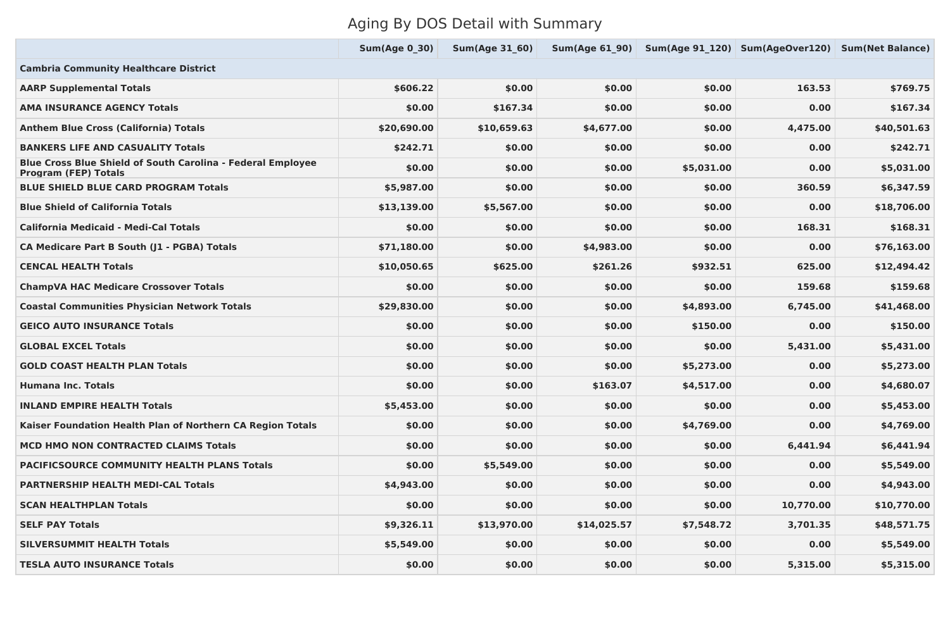# Aging By DOS Detail with Summary

|                                                                                                   | <b>Sum(Age 0 30)</b> | <b>Sum(Age 31 60)</b> | Sum(Age 61 90) |            | Sum(Age 91 120) Sum(AgeOver120) Sum(Net Balance) |             |
|---------------------------------------------------------------------------------------------------|----------------------|-----------------------|----------------|------------|--------------------------------------------------|-------------|
| <b>Cambria Community Healthcare District</b>                                                      |                      |                       |                |            |                                                  |             |
| <b>AARP Supplemental Totals</b>                                                                   | \$606.22             | \$0.00                | \$0.00         | \$0.00     | 163.53                                           | \$769.75    |
| <b>AMA INSURANCE AGENCY Totals</b>                                                                | \$0.00               | \$167.34              | \$0.00         | \$0.00     | 0.00                                             | \$167.34    |
| <b>Anthem Blue Cross (California) Totals</b>                                                      | \$20,690.00          | \$10,659.63           | \$4,677.00     | \$0.00     | 4,475.00                                         | \$40,501.63 |
| <b>BANKERS LIFE AND CASUALITY Totals</b>                                                          | \$242.71             | \$0.00                | \$0.00         | \$0.00     | 0.00                                             | \$242.71    |
| <b>Blue Cross Blue Shield of South Carolina - Federal Employee</b><br><b>Program (FEP) Totals</b> | \$0.00               | \$0.00                | \$0.00         | \$5,031.00 | 0.00                                             | \$5,031.00  |
| <b>BLUE SHIELD BLUE CARD PROGRAM Totals</b>                                                       | \$5,987.00           | \$0.00                | \$0.00         | \$0.00     | 360.59                                           | \$6,347.59  |
| <b>Blue Shield of California Totals</b>                                                           | \$13,139.00          | \$5,567.00            | \$0.00         | \$0.00     | 0.00                                             | \$18,706.00 |
| <b>California Medicaid - Medi-Cal Totals</b>                                                      | \$0.00               | \$0.00                | \$0.00         | \$0.00     | 168.31                                           | \$168.31    |
| <b>CA Medicare Part B South (J1 - PGBA) Totals</b>                                                | \$71,180.00          | \$0.00                | \$4,983.00     | \$0.00     | 0.00                                             | \$76,163.00 |
| <b>CENCAL HEALTH Totals</b>                                                                       | \$10,050.65          | \$625.00              | \$261.26       | \$932.51   | 625.00                                           | \$12,494.42 |
| <b>ChampVA HAC Medicare Crossover Totals</b>                                                      | \$0.00               | \$0.00                | \$0.00         | \$0.00     | 159.68                                           | \$159.68    |
| <b>Coastal Communities Physician Network Totals</b>                                               | \$29,830.00          | \$0.00                | \$0.00         | \$4,893.00 | 6,745.00                                         | \$41,468.00 |
| <b>GEICO AUTO INSURANCE Totals</b>                                                                | \$0.00               | \$0.00                | \$0.00         | \$150.00   | 0.00                                             | \$150.00    |
| <b>GLOBAL EXCEL Totals</b>                                                                        | \$0.00               | \$0.00                | \$0.00         | \$0.00     | 5,431.00                                         | \$5,431.00  |
| <b>GOLD COAST HEALTH PLAN Totals</b>                                                              | \$0.00               | \$0.00                | \$0.00         | \$5,273.00 | 0.00                                             | \$5,273.00  |
| <b>Humana Inc. Totals</b>                                                                         | \$0.00               | \$0.00                | \$163.07       | \$4,517.00 | 0.00                                             | \$4,680.07  |
| <b>INLAND EMPIRE HEALTH Totals</b>                                                                | \$5,453.00           | \$0.00                | \$0.00         | \$0.00     | 0.00                                             | \$5,453.00  |
| Kaiser Foundation Health Plan of Northern CA Region Totals                                        | \$0.00               | \$0.00                | \$0.00         | \$4,769.00 | 0.00                                             | \$4,769.00  |
| <b>MCD HMO NON CONTRACTED CLAIMS Totals</b>                                                       | \$0.00               | \$0.00                | \$0.00         | \$0.00     | 6,441.94                                         | \$6,441.94  |
| <b>PACIFICSOURCE COMMUNITY HEALTH PLANS Totals</b>                                                | \$0.00               | \$5,549.00            | \$0.00         | \$0.00     | 0.00                                             | \$5,549.00  |
| <b>PARTNERSHIP HEALTH MEDI-CAL Totals</b>                                                         | \$4,943.00           | \$0.00                | \$0.00         | \$0.00     | 0.00                                             | \$4,943.00  |
| <b>SCAN HEALTHPLAN Totals</b>                                                                     | \$0.00               | \$0.00                | \$0.00         | \$0.00     | 10,770.00                                        | \$10,770.00 |
| <b>SELF PAY Totals</b>                                                                            | \$9,326.11           | \$13,970.00           | \$14,025.57    | \$7,548.72 | 3,701.35                                         | \$48,571.75 |
| <b>SILVERSUMMIT HEALTH Totals</b>                                                                 | \$5,549.00           | \$0.00                | \$0.00         | \$0.00     | 0.00                                             | \$5,549.00  |
| <b>TESLA AUTO INSURANCE Totals</b>                                                                | \$0.00               | \$0.00                | \$0.00         | \$0.00     | 5,315.00                                         | \$5,315.00  |